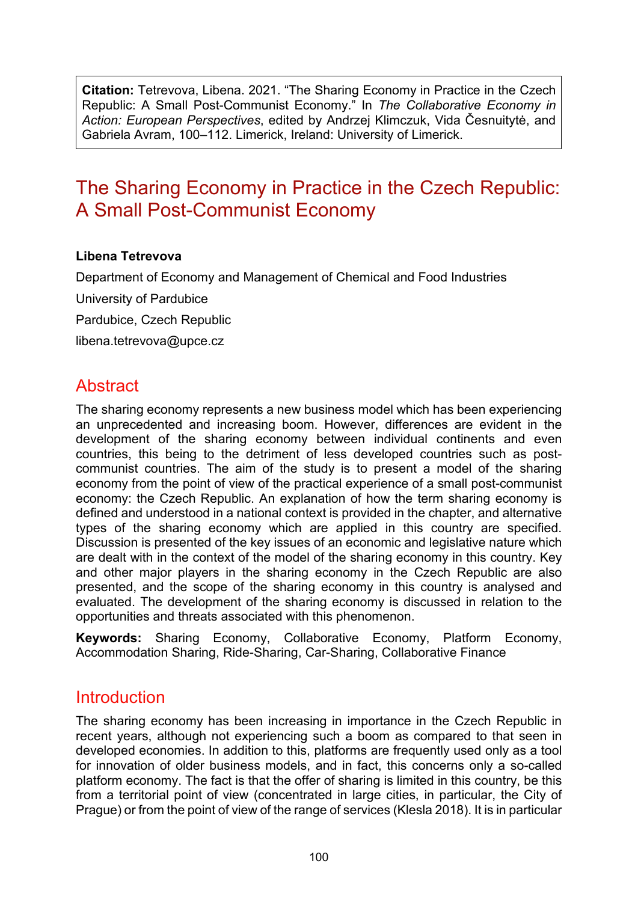**Citation:** Tetrevova, Libena. 2021. "The Sharing Economy in Practice in the Czech Republic: A Small Post-Communist Economy." In *The Collaborative Economy in Action: European Perspectives*, edited by Andrzej Klimczuk, Vida Česnuitytė, and Gabriela Avram, 100–112. Limerick, Ireland: University of Limerick.

# The Sharing Economy in Practice in the Czech Republic: A Small Post-Communist Economy

#### **Libena Tetrevova**

Department of Economy and Management of Chemical and Food Industries University of Pardubice Pardubice, Czech Republic [libena.tetrevova@upce.cz](mailto:libena.tetrevova@upce.cz)

# **Abstract**

The sharing economy represents a new business model which has been experiencing an unprecedented and increasing boom. However, differences are evident in the development of the sharing economy between individual continents and even countries, this being to the detriment of less developed countries such as postcommunist countries. The aim of the study is to present a model of the sharing economy from the point of view of the practical experience of a small post-communist economy: the Czech Republic. An explanation of how the term sharing economy is defined and understood in a national context is provided in the chapter, and alternative types of the sharing economy which are applied in this country are specified. Discussion is presented of the key issues of an economic and legislative nature which are dealt with in the context of the model of the sharing economy in this country. Key and other major players in the sharing economy in the Czech Republic are also presented, and the scope of the sharing economy in this country is analysed and evaluated. The development of the sharing economy is discussed in relation to the opportunities and threats associated with this phenomenon.

**Keywords:** Sharing Economy, Collaborative Economy, Platform Economy, Accommodation Sharing, Ride-Sharing, Car-Sharing, Collaborative Finance

#### **Introduction**

The sharing economy has been increasing in importance in the Czech Republic in recent years, although not experiencing such a boom as compared to that seen in developed economies. In addition to this, platforms are frequently used only as a tool for innovation of older business models, and in fact, this concerns only a so-called platform economy. The fact is that the offer of sharing is limited in this country, be this from a territorial point of view (concentrated in large cities, in particular, the City of Prague) or from the point of view of the range of services (Klesla 2018). It is in particular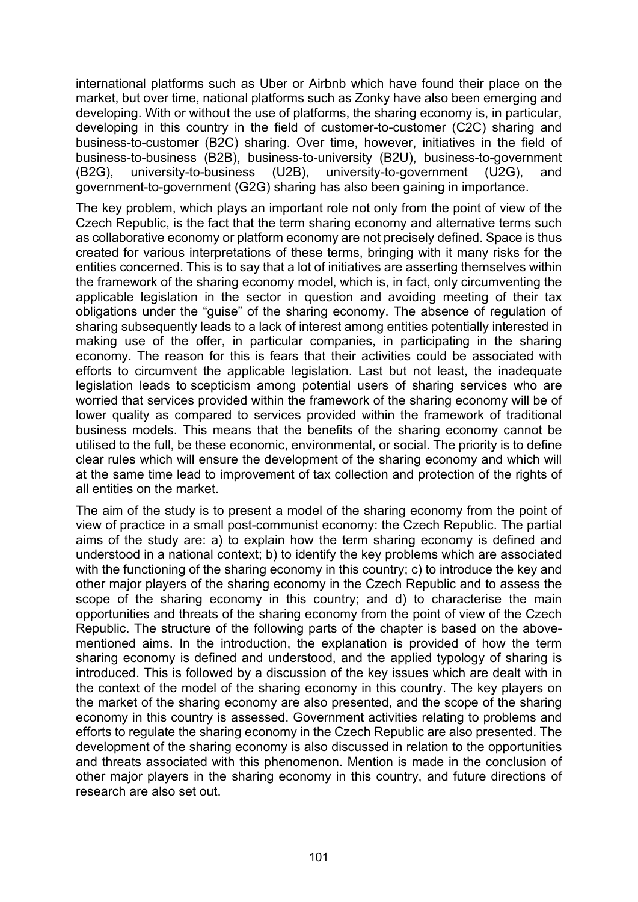international platforms such as Uber or Airbnb which have found their place on the market, but over time, national platforms such as Zonky have also been emerging and developing. With or without the use of platforms, the sharing economy is, in particular, developing in this country in the field of customer-to-customer (C2C) sharing and business-to-customer (B2C) sharing. Over time, however, initiatives in the field of business-to-business (B2B), business-to-university (B2U), business-to-government (B2G), university-to-business (U2B), university-to-government (U2G), and government-to-government (G2G) sharing has also been gaining in importance.

The key problem, which plays an important role not only from the point of view of the Czech Republic, is the fact that the term sharing economy and alternative terms such as collaborative economy or platform economy are not precisely defined. Space is thus created for various interpretations of these terms, bringing with it many risks for the entities concerned. This is to say that a lot of initiatives are asserting themselves within the framework of the sharing economy model, which is, in fact, only circumventing the applicable legislation in the sector in question and avoiding meeting of their tax obligations under the "guise" of the sharing economy. The absence of regulation of sharing subsequently leads to a lack of interest among entities potentially interested in making use of the offer, in particular companies, in participating in the sharing economy. The reason for this is fears that their activities could be associated with efforts to circumvent the applicable legislation. Last but not least, the inadequate legislation leads to scepticism among potential users of sharing services who are worried that services provided within the framework of the sharing economy will be of lower quality as compared to services provided within the framework of traditional business models. This means that the benefits of the sharing economy cannot be utilised to the full, be these economic, environmental, or social. The priority is to define clear rules which will ensure the development of the sharing economy and which will at the same time lead to improvement of tax collection and protection of the rights of all entities on the market.

The aim of the study is to present a model of the sharing economy from the point of view of practice in a small post-communist economy: the Czech Republic. The partial aims of the study are: a) to explain how the term sharing economy is defined and understood in a national context; b) to identify the key problems which are associated with the functioning of the sharing economy in this country; c) to introduce the key and other major players of the sharing economy in the Czech Republic and to assess the scope of the sharing economy in this country; and d) to characterise the main opportunities and threats of the sharing economy from the point of view of the Czech Republic. The structure of the following parts of the chapter is based on the abovementioned aims. In the introduction, the explanation is provided of how the term sharing economy is defined and understood, and the applied typology of sharing is introduced. This is followed by a discussion of the key issues which are dealt with in the context of the model of the sharing economy in this country. The key players on the market of the sharing economy are also presented, and the scope of the sharing economy in this country is assessed. Government activities relating to problems and efforts to regulate the sharing economy in the Czech Republic are also presented. The development of the sharing economy is also discussed in relation to the opportunities and threats associated with this phenomenon. Mention is made in the conclusion of other major players in the sharing economy in this country, and future directions of research are also set out.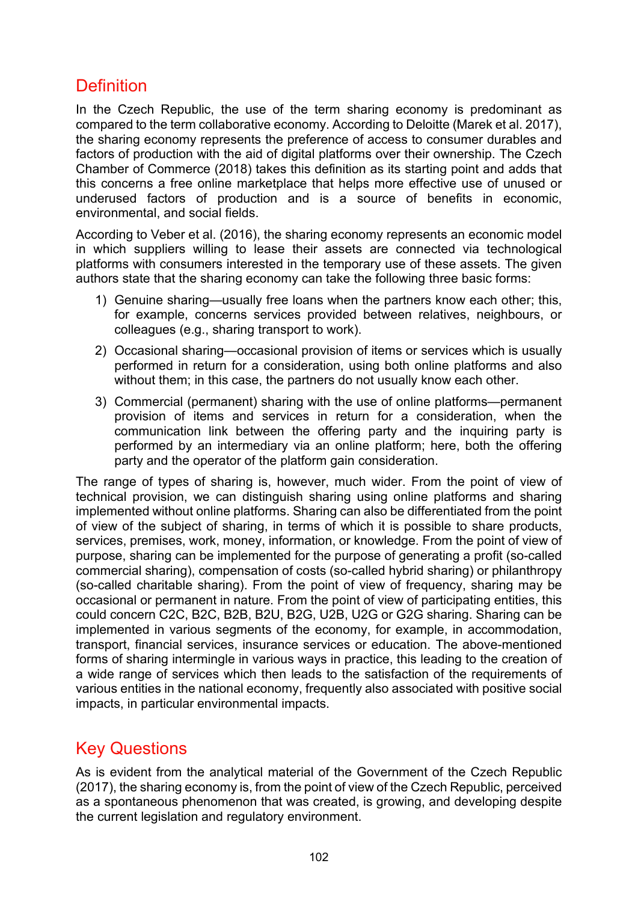# **Definition**

In the Czech Republic, the use of the term sharing economy is predominant as compared to the term collaborative economy. According to Deloitte (Marek et al. 2017), the sharing economy represents the preference of access to consumer durables and factors of production with the aid of digital platforms over their ownership. The Czech Chamber of Commerce (2018) takes this definition as its starting point and adds that this concerns a free online marketplace that helps more effective use of unused or underused factors of production and is a source of benefits in economic, environmental, and social fields.

According to Veber et al. (2016), the sharing economy represents an economic model in which suppliers willing to lease their assets are connected via technological platforms with consumers interested in the temporary use of these assets. The given authors state that the sharing economy can take the following three basic forms:

- 1) Genuine sharing—usually free loans when the partners know each other; this, for example, concerns services provided between relatives, neighbours, or colleagues (e.g., sharing transport to work).
- 2) Occasional sharing—occasional provision of items or services which is usually performed in return for a consideration, using both online platforms and also without them; in this case, the partners do not usually know each other.
- 3) Commercial (permanent) sharing with the use of online platforms—permanent provision of items and services in return for a consideration, when the communication link between the offering party and the inquiring party is performed by an intermediary via an online platform; here, both the offering party and the operator of the platform gain consideration.

The range of types of sharing is, however, much wider. From the point of view of technical provision, we can distinguish sharing using online platforms and sharing implemented without online platforms. Sharing can also be differentiated from the point of view of the subject of sharing, in terms of which it is possible to share products, services, premises, work, money, information, or knowledge. From the point of view of purpose, sharing can be implemented for the purpose of generating a profit (so-called commercial sharing), compensation of costs (so-called hybrid sharing) or philanthropy (so-called charitable sharing). From the point of view of frequency, sharing may be occasional or permanent in nature. From the point of view of participating entities, this could concern C2C, B2C, B2B, B2U, B2G, U2B, U2G or G2G sharing. Sharing can be implemented in various segments of the economy, for example, in accommodation, transport, financial services, insurance services or education. The above-mentioned forms of sharing intermingle in various ways in practice, this leading to the creation of a wide range of services which then leads to the satisfaction of the requirements of various entities in the national economy, frequently also associated with positive social impacts, in particular environmental impacts.

### Key Questions

As is evident from the analytical material of the Government of the Czech Republic (2017), the sharing economy is, from the point of view of the Czech Republic, perceived as a spontaneous phenomenon that was created, is growing, and developing despite the current legislation and regulatory environment.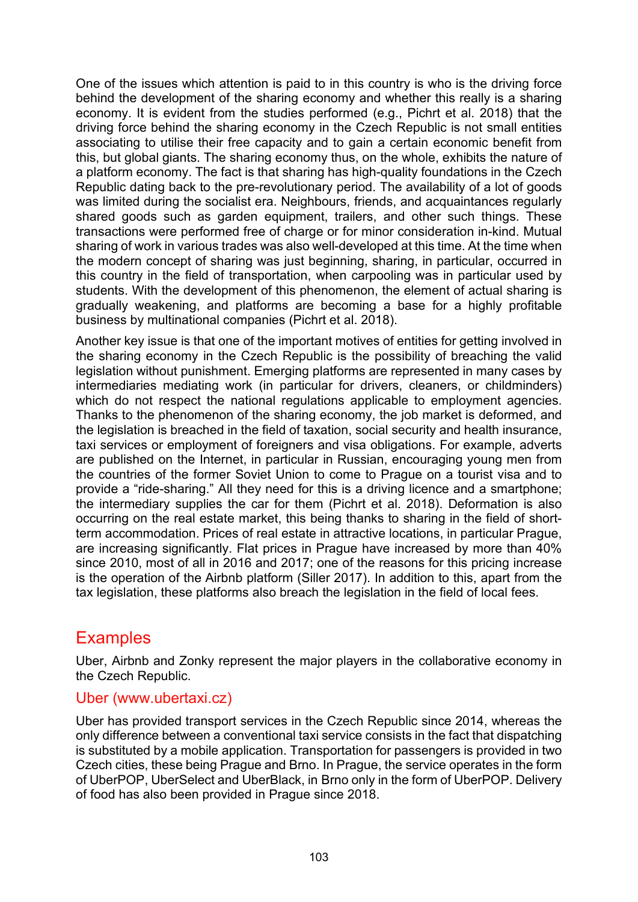One of the issues which attention is paid to in this country is who is the driving force behind the development of the sharing economy and whether this really is a sharing economy. It is evident from the studies performed (e.g., Pichrt et al. 2018) that the driving force behind the sharing economy in the Czech Republic is not small entities associating to utilise their free capacity and to gain a certain economic benefit from this, but global giants. The sharing economy thus, on the whole, exhibits the nature of a platform economy. The fact is that sharing has high-quality foundations in the Czech Republic dating back to the pre-revolutionary period. The availability of a lot of goods was limited during the socialist era. Neighbours, friends, and acquaintances regularly shared goods such as garden equipment, trailers, and other such things. These transactions were performed free of charge or for minor consideration in-kind. Mutual sharing of work in various trades was also well-developed at this time. At the time when the modern concept of sharing was just beginning, sharing, in particular, occurred in this country in the field of transportation, when carpooling was in particular used by students. With the development of this phenomenon, the element of actual sharing is gradually weakening, and platforms are becoming a base for a highly profitable business by multinational companies (Pichrt et al. 2018).

Another key issue is that one of the important motives of entities for getting involved in the sharing economy in the Czech Republic is the possibility of breaching the valid legislation without punishment. Emerging platforms are represented in many cases by intermediaries mediating work (in particular for drivers, cleaners, or childminders) which do not respect the national regulations applicable to employment agencies. Thanks to the phenomenon of the sharing economy, the job market is deformed, and the legislation is breached in the field of taxation, social security and health insurance, taxi services or employment of foreigners and visa obligations. For example, adverts are published on the Internet, in particular in Russian, encouraging young men from the countries of the former Soviet Union to come to Prague on a tourist visa and to provide a "ride-sharing." All they need for this is a driving licence and a smartphone; the intermediary supplies the car for them (Pichrt et al. 2018). Deformation is also occurring on the real estate market, this being thanks to sharing in the field of shortterm accommodation. Prices of real estate in attractive locations, in particular Prague, are increasing significantly. Flat prices in Prague have increased by more than 40% since 2010, most of all in 2016 and 2017; one of the reasons for this pricing increase is the operation of the Airbnb platform (Siller 2017). In addition to this, apart from the tax legislation, these platforms also breach the legislation in the field of local fees.

#### **Examples**

Uber, Airbnb and Zonky represent the major players in the collaborative economy in the Czech Republic.

#### Uber (www.ubertaxi.cz)

Uber has provided transport services in the Czech Republic since 2014, whereas the only difference between a conventional taxi service consists in the fact that dispatching is substituted by a mobile application. Transportation for passengers is provided in two Czech cities, these being Prague and Brno. In Prague, the service operates in the form of UberPOP, UberSelect and UberBlack, in Brno only in the form of UberPOP. Delivery of food has also been provided in Prague since 2018.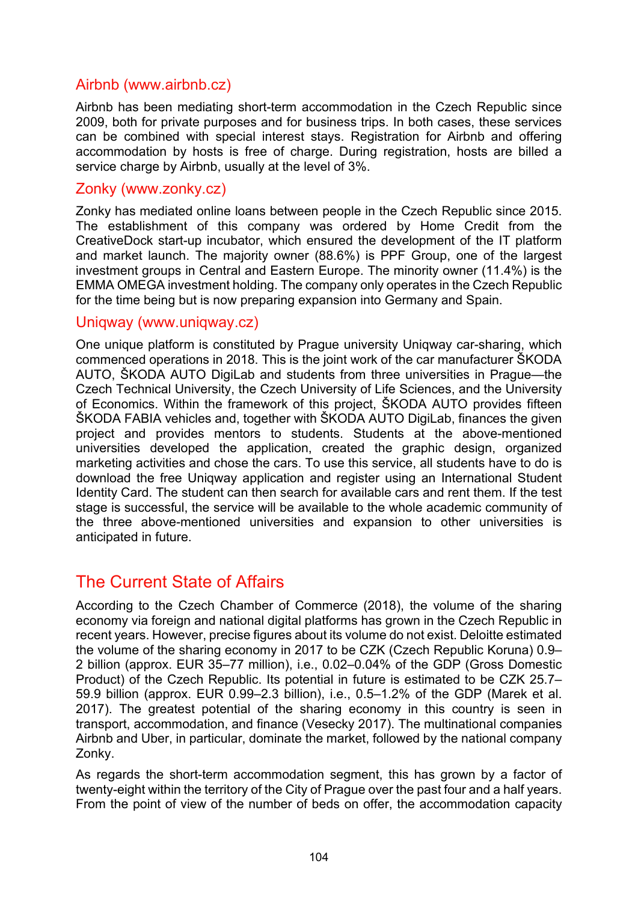#### Airbnb (www.airbnb.cz)

Airbnb has been mediating short-term accommodation in the Czech Republic since 2009, both for private purposes and for business trips. In both cases, these services can be combined with special interest stays. Registration for Airbnb and offering accommodation by hosts is free of charge. During registration, hosts are billed a service charge by Airbnb, usually at the level of 3%.

#### Zonky (www.zonky.cz)

Zonky has mediated online loans between people in the Czech Republic since 2015. The establishment of this company was ordered by Home Credit from the CreativeDock start-up incubator, which ensured the development of the IT platform and market launch. The majority owner (88.6%) is PPF Group, one of the largest investment groups in Central and Eastern Europe. The minority owner (11.4%) is the EMMA OMEGA investment holding. The company only operates in the Czech Republic for the time being but is now preparing expansion into Germany and Spain.

#### Uniqway (www.uniqway.cz)

One unique platform is constituted by Prague university Uniqway car-sharing, which commenced operations in 2018. This is the joint work of the car manufacturer ŠKODA AUTO, ŠKODA AUTO DigiLab and students from three universities in Prague—the Czech Technical University, the Czech University of Life Sciences, and the University of Economics. Within the framework of this project, ŠKODA AUTO provides fifteen ŠKODA FABIA vehicles and, together with ŠKODA AUTO DigiLab, finances the given project and provides mentors to students. Students at the above-mentioned universities developed the application, created the graphic design, organized marketing activities and chose the cars. To use this service, all students have to do is download the free Uniqway application and register using an International Student Identity Card. The student can then search for available cars and rent them. If the test stage is successful, the service will be available to the whole academic community of the three above-mentioned universities and expansion to other universities is anticipated in future.

### The Current State of Affairs

According to the Czech Chamber of Commerce (2018), the volume of the sharing economy via foreign and national digital platforms has grown in the Czech Republic in recent years. However, precise figures about its volume do not exist. Deloitte estimated the volume of the sharing economy in 2017 to be CZK (Czech Republic Koruna) 0.9– 2 billion (approx. EUR 35–77 million), i.e., 0.02–0.04% of the GDP (Gross Domestic Product) of the Czech Republic. Its potential in future is estimated to be CZK 25.7– 59.9 billion (approx. EUR 0.99–2.3 billion), i.e., 0.5–1.2% of the GDP (Marek et al. 2017). The greatest potential of the sharing economy in this country is seen in transport, accommodation, and finance (Vesecky 2017). The multinational companies Airbnb and Uber, in particular, dominate the market, followed by the national company Zonky.

As regards the short-term accommodation segment, this has grown by a factor of twenty-eight within the territory of the City of Prague over the past four and a half years. From the point of view of the number of beds on offer, the accommodation capacity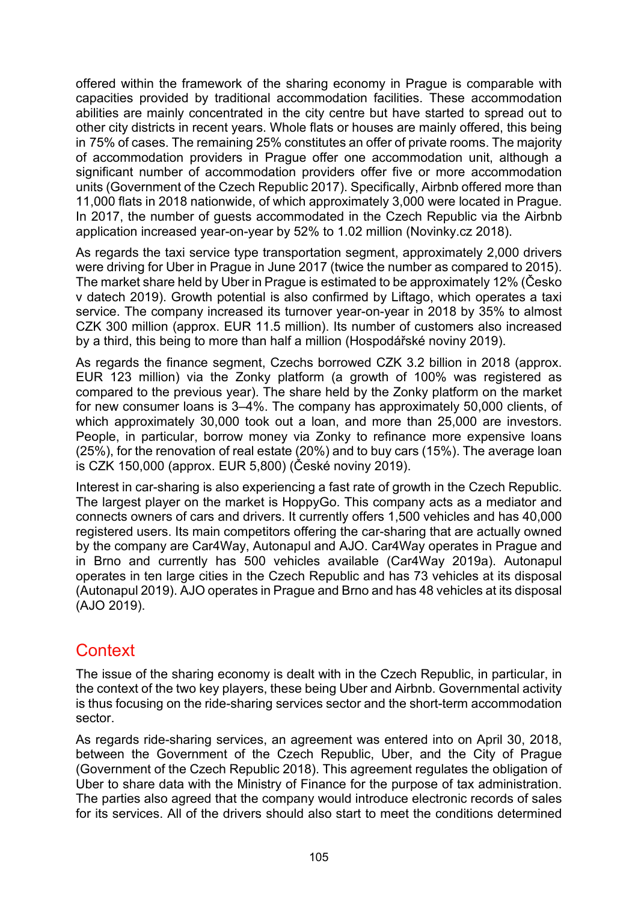offered within the framework of the sharing economy in Prague is comparable with capacities provided by traditional accommodation facilities. These accommodation abilities are mainly concentrated in the city centre but have started to spread out to other city districts in recent years. Whole flats or houses are mainly offered, this being in 75% of cases. The remaining 25% constitutes an offer of private rooms. The majority of accommodation providers in Prague offer one accommodation unit, although a significant number of accommodation providers offer five or more accommodation units (Government of the Czech Republic 2017). Specifically, Airbnb offered more than 11,000 flats in 2018 nationwide, of which approximately 3,000 were located in Prague. In 2017, the number of guests accommodated in the Czech Republic via the Airbnb application increased year-on-year by 52% to 1.02 million (Novinky.cz 2018).

As regards the taxi service type transportation segment, approximately 2,000 drivers were driving for Uber in Prague in June 2017 (twice the number as compared to 2015). The market share held by Uber in Prague is estimated to be approximately 12% (Česko v datech 2019). Growth potential is also confirmed by Liftago, which operates a taxi service. The company increased its turnover year-on-year in 2018 by 35% to almost CZK 300 million (approx. EUR 11.5 million). Its number of customers also increased by a third, this being to more than half a million (Hospodářské noviny 2019).

As regards the finance segment, Czechs borrowed CZK 3.2 billion in 2018 (approx. EUR 123 million) via the Zonky platform (a growth of 100% was registered as compared to the previous year). The share held by the Zonky platform on the market for new consumer loans is 3–4%. The company has approximately 50,000 clients, of which approximately 30,000 took out a loan, and more than 25,000 are investors. People, in particular, borrow money via Zonky to refinance more expensive loans (25%), for the renovation of real estate (20%) and to buy cars (15%). The average loan is CZK 150,000 (approx. EUR 5,800) (České noviny 2019).

Interest in car-sharing is also experiencing a fast rate of growth in the Czech Republic. The largest player on the market is HoppyGo. This company acts as a mediator and connects owners of cars and drivers. It currently offers 1,500 vehicles and has 40,000 registered users. Its main competitors offering the car-sharing that are actually owned by the company are Car4Way, Autonapul and AJO. Car4Way operates in Prague and in Brno and currently has 500 vehicles available (Car4Way 2019a). Autonapul operates in ten large cities in the Czech Republic and has 73 vehicles at its disposal (Autonapul 2019). AJO operates in Prague and Brno and has 48 vehicles at its disposal (AJO 2019).

#### **Context**

The issue of the sharing economy is dealt with in the Czech Republic, in particular, in the context of the two key players, these being Uber and Airbnb. Governmental activity is thus focusing on the ride-sharing services sector and the short-term accommodation sector.

As regards ride-sharing services, an agreement was entered into on April 30, 2018, between the Government of the Czech Republic, Uber, and the City of Prague (Government of the Czech Republic 2018). This agreement regulates the obligation of Uber to share data with the Ministry of Finance for the purpose of tax administration. The parties also agreed that the company would introduce electronic records of sales for its services. All of the drivers should also start to meet the conditions determined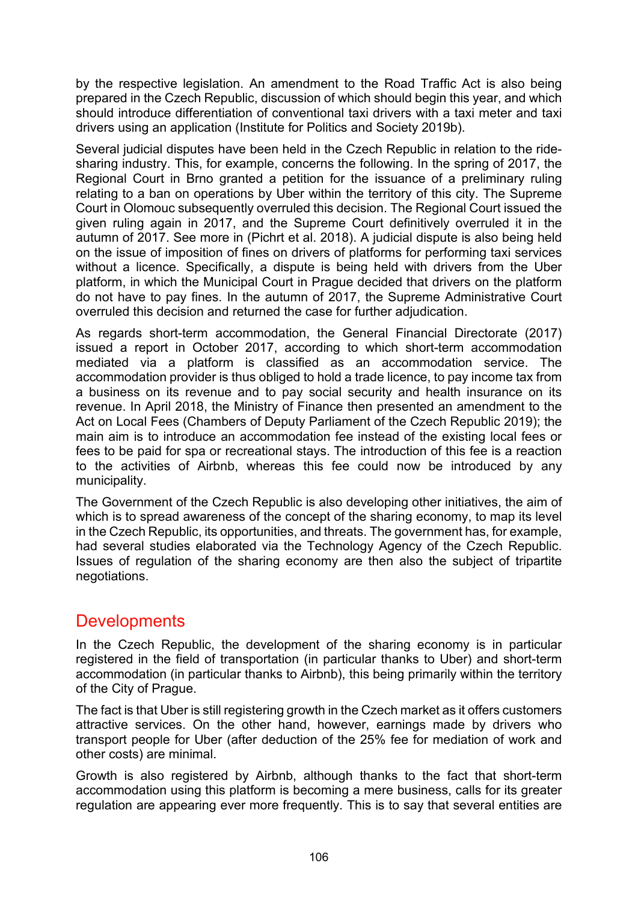by the respective legislation. An amendment to the Road Traffic Act is also being prepared in the Czech Republic, discussion of which should begin this year, and which should introduce differentiation of conventional taxi drivers with a taxi meter and taxi drivers using an application (Institute for Politics and Society 2019b).

Several judicial disputes have been held in the Czech Republic in relation to the ridesharing industry. This, for example, concerns the following. In the spring of 2017, the Regional Court in Brno granted a petition for the issuance of a preliminary ruling relating to a ban on operations by Uber within the territory of this city. The Supreme Court in Olomouc subsequently overruled this decision. The Regional Court issued the given ruling again in 2017, and the Supreme Court definitively overruled it in the autumn of 2017. See more in (Pichrt et al. 2018). A judicial dispute is also being held on the issue of imposition of fines on drivers of platforms for performing taxi services without a licence. Specifically, a dispute is being held with drivers from the Uber platform, in which the Municipal Court in Prague decided that drivers on the platform do not have to pay fines. In the autumn of 2017, the Supreme Administrative Court overruled this decision and returned the case for further adjudication.

As regards short-term accommodation, the General Financial Directorate (2017) issued a report in October 2017, according to which short-term accommodation mediated via a platform is classified as an accommodation service. The accommodation provider is thus obliged to hold a trade licence, to pay income tax from a business on its revenue and to pay social security and health insurance on its revenue. In April 2018, the Ministry of Finance then presented an amendment to the Act on Local Fees (Chambers of Deputy Parliament of the Czech Republic 2019); the main aim is to introduce an accommodation fee instead of the existing local fees or fees to be paid for spa or recreational stays. The introduction of this fee is a reaction to the activities of Airbnb, whereas this fee could now be introduced by any municipality.

The Government of the Czech Republic is also developing other initiatives, the aim of which is to spread awareness of the concept of the sharing economy, to map its level in the Czech Republic, its opportunities, and threats. The government has, for example, had several studies elaborated via the Technology Agency of the Czech Republic. Issues of regulation of the sharing economy are then also the subject of tripartite negotiations.

### **Developments**

In the Czech Republic, the development of the sharing economy is in particular registered in the field of transportation (in particular thanks to Uber) and short-term accommodation (in particular thanks to Airbnb), this being primarily within the territory of the City of Prague.

The fact is that Uber is still registering growth in the Czech market as it offers customers attractive services. On the other hand, however, earnings made by drivers who transport people for Uber (after deduction of the 25% fee for mediation of work and other costs) are minimal.

Growth is also registered by Airbnb, although thanks to the fact that short-term accommodation using this platform is becoming a mere business, calls for its greater regulation are appearing ever more frequently. This is to say that several entities are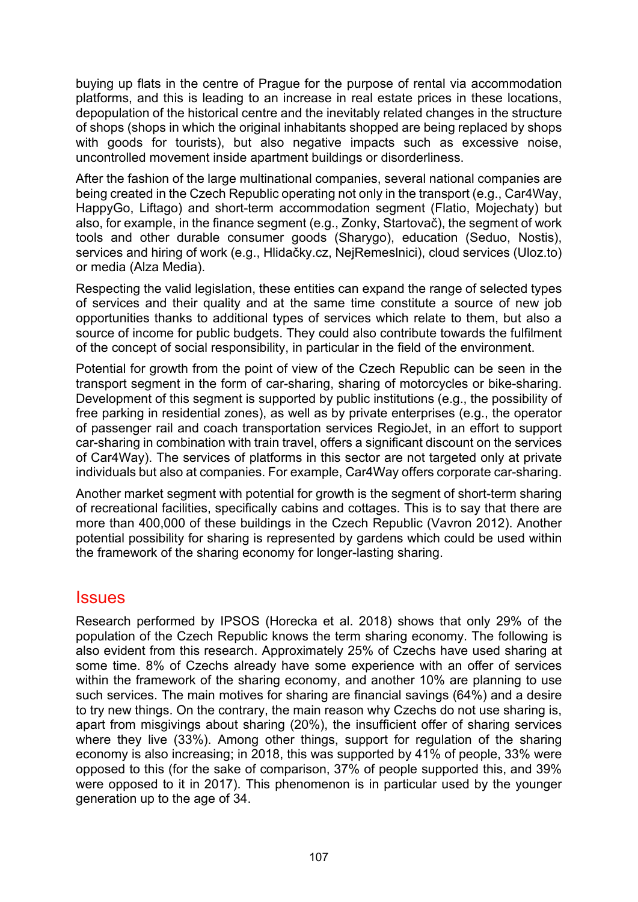buying up flats in the centre of Prague for the purpose of rental via accommodation platforms, and this is leading to an increase in real estate prices in these locations, depopulation of the historical centre and the inevitably related changes in the structure of shops (shops in which the original inhabitants shopped are being replaced by shops with goods for tourists), but also negative impacts such as excessive noise, uncontrolled movement inside apartment buildings or disorderliness.

After the fashion of the large multinational companies, several national companies are being created in the Czech Republic operating not only in the transport (e.g., Car4Way, HappyGo, Liftago) and short-term accommodation segment (Flatio, Mojechaty) but also, for example, in the finance segment (e.g., Zonky, Startovač), the segment of work tools and other durable consumer goods (Sharygo), education (Seduo, Nostis), services and hiring of work (e.g., Hlidačky.cz, NejRemeslnici), cloud services (Uloz.to) or media (Alza Media).

Respecting the valid legislation, these entities can expand the range of selected types of services and their quality and at the same time constitute a source of new job opportunities thanks to additional types of services which relate to them, but also a source of income for public budgets. They could also contribute towards the fulfilment of the concept of social responsibility, in particular in the field of the environment.

Potential for growth from the point of view of the Czech Republic can be seen in the transport segment in the form of car-sharing, sharing of motorcycles or bike-sharing. Development of this segment is supported by public institutions (e.g., the possibility of free parking in residential zones), as well as by private enterprises (e.g., the operator of passenger rail and coach transportation services RegioJet, in an effort to support car-sharing in combination with train travel, offers a significant discount on the services of Car4Way). The services of platforms in this sector are not targeted only at private individuals but also at companies. For example, Car4Way offers corporate car-sharing.

Another market segment with potential for growth is the segment of short-term sharing of recreational facilities, specifically cabins and cottages. This is to say that there are more than 400,000 of these buildings in the Czech Republic (Vavron 2012). Another potential possibility for sharing is represented by gardens which could be used within the framework of the sharing economy for longer-lasting sharing.

#### **Issues**

Research performed by IPSOS (Horecka et al. 2018) shows that only 29% of the population of the Czech Republic knows the term sharing economy. The following is also evident from this research. Approximately 25% of Czechs have used sharing at some time. 8% of Czechs already have some experience with an offer of services within the framework of the sharing economy, and another 10% are planning to use such services. The main motives for sharing are financial savings (64%) and a desire to try new things. On the contrary, the main reason why Czechs do not use sharing is, apart from misgivings about sharing (20%), the insufficient offer of sharing services where they live (33%). Among other things, support for regulation of the sharing economy is also increasing; in 2018, this was supported by 41% of people, 33% were opposed to this (for the sake of comparison, 37% of people supported this, and 39% were opposed to it in 2017). This phenomenon is in particular used by the younger generation up to the age of 34.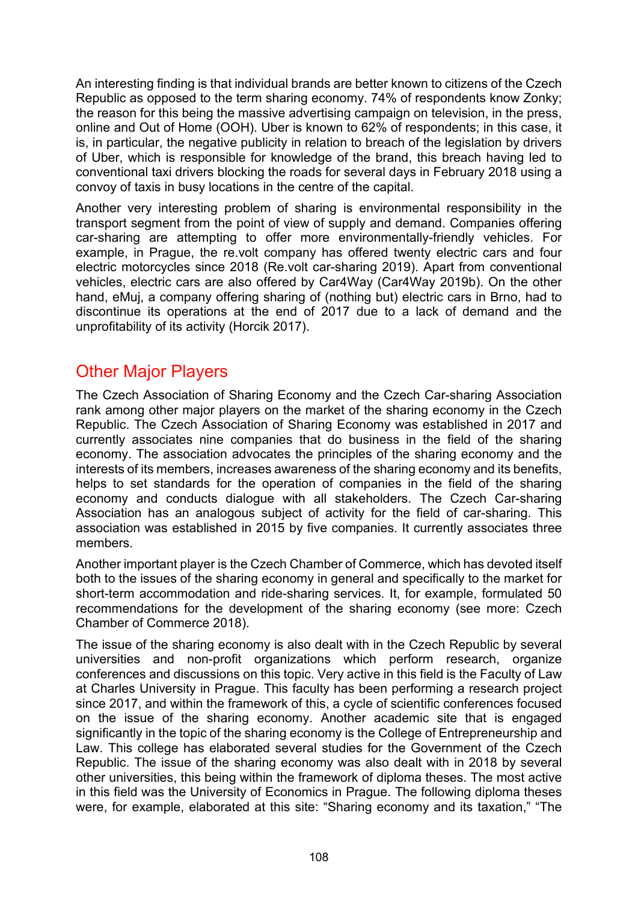An interesting finding is that individual brands are better known to citizens of the Czech Republic as opposed to the term sharing economy. 74% of respondents know Zonky; the reason for this being the massive advertising campaign on television, in the press, online and Out of Home (OOH). Uber is known to 62% of respondents; in this case, it is, in particular, the negative publicity in relation to breach of the legislation by drivers of Uber, which is responsible for knowledge of the brand, this breach having led to conventional taxi drivers blocking the roads for several days in February 2018 using a convoy of taxis in busy locations in the centre of the capital.

Another very interesting problem of sharing is environmental responsibility in the transport segment from the point of view of supply and demand. Companies offering car-sharing are attempting to offer more environmentally-friendly vehicles. For example, in Prague, the re.volt company has offered twenty electric cars and four electric motorcycles since 2018 (Re.volt car-sharing 2019). Apart from conventional vehicles, electric cars are also offered by Car4Way (Car4Way 2019b). On the other hand, eMuj, a company offering sharing of (nothing but) electric cars in Brno, had to discontinue its operations at the end of 2017 due to a lack of demand and the unprofitability of its activity (Horcik 2017).

# Other Major Players

The Czech Association of Sharing Economy and the Czech Car-sharing Association rank among other major players on the market of the sharing economy in the Czech Republic. The Czech Association of Sharing Economy was established in 2017 and currently associates nine companies that do business in the field of the sharing economy. The association advocates the principles of the sharing economy and the interests of its members, increases awareness of the sharing economy and its benefits, helps to set standards for the operation of companies in the field of the sharing economy and conducts dialogue with all stakeholders. The Czech Car-sharing Association has an analogous subject of activity for the field of car-sharing. This association was established in 2015 by five companies. It currently associates three members.

Another important player is the Czech Chamber of Commerce, which has devoted itself both to the issues of the sharing economy in general and specifically to the market for short-term accommodation and ride-sharing services. It, for example, formulated 50 recommendations for the development of the sharing economy (see more: Czech Chamber of Commerce 2018).

The issue of the sharing economy is also dealt with in the Czech Republic by several universities and non-profit organizations which perform research, organize conferences and discussions on this topic. Very active in this field is the Faculty of Law at Charles University in Prague. This faculty has been performing a research project since 2017, and within the framework of this, a cycle of scientific conferences focused on the issue of the sharing economy. Another academic site that is engaged significantly in the topic of the sharing economy is the College of Entrepreneurship and Law. This college has elaborated several studies for the Government of the Czech Republic. The issue of the sharing economy was also dealt with in 2018 by several other universities, this being within the framework of diploma theses. The most active in this field was the University of Economics in Prague. The following diploma theses were, for example, elaborated at this site: "Sharing economy and its taxation," "The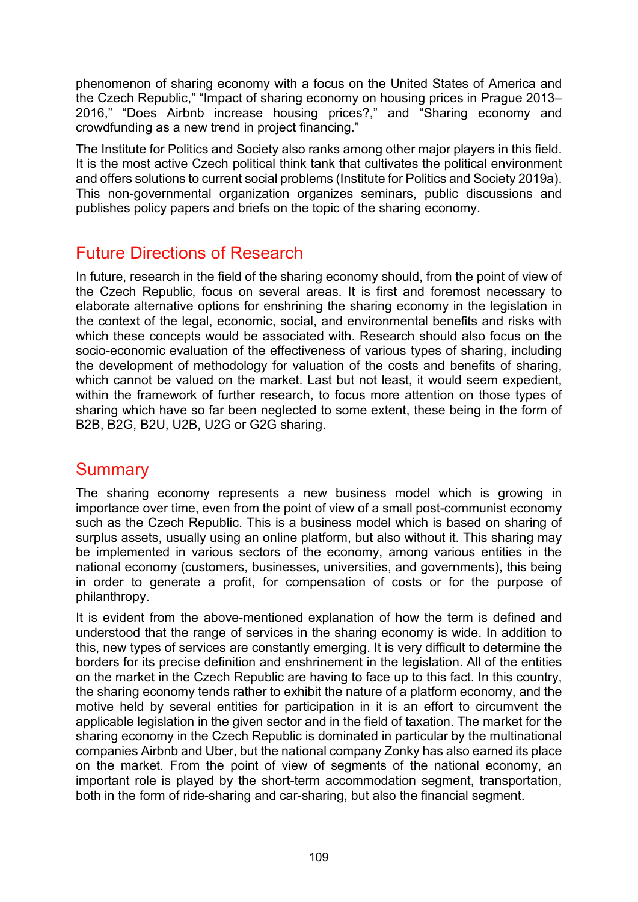phenomenon of sharing economy with a focus on the United States of America and the Czech Republic," "Impact of sharing economy on housing prices in Prague 2013– 2016," "Does Airbnb increase housing prices?," and "Sharing economy and crowdfunding as a new trend in project financing."

The Institute for Politics and Society also ranks among other major players in this field. It is the most active Czech political think tank that cultivates the political environment and offers solutions to current social problems (Institute for Politics and Society 2019a). This non-governmental organization organizes seminars, public discussions and publishes policy papers and briefs on the topic of the sharing economy.

# Future Directions of Research

In future, research in the field of the sharing economy should, from the point of view of the Czech Republic, focus on several areas. It is first and foremost necessary to elaborate alternative options for enshrining the sharing economy in the legislation in the context of the legal, economic, social, and environmental benefits and risks with which these concepts would be associated with. Research should also focus on the socio-economic evaluation of the effectiveness of various types of sharing, including the development of methodology for valuation of the costs and benefits of sharing, which cannot be valued on the market. Last but not least, it would seem expedient, within the framework of further research, to focus more attention on those types of sharing which have so far been neglected to some extent, these being in the form of B2B, B2G, B2U, U2B, U2G or G2G sharing.

#### **Summary**

The sharing economy represents a new business model which is growing in importance over time, even from the point of view of a small post-communist economy such as the Czech Republic. This is a business model which is based on sharing of surplus assets, usually using an online platform, but also without it. This sharing may be implemented in various sectors of the economy, among various entities in the national economy (customers, businesses, universities, and governments), this being in order to generate a profit, for compensation of costs or for the purpose of philanthropy.

It is evident from the above-mentioned explanation of how the term is defined and understood that the range of services in the sharing economy is wide. In addition to this, new types of services are constantly emerging. It is very difficult to determine the borders for its precise definition and enshrinement in the legislation. All of the entities on the market in the Czech Republic are having to face up to this fact. In this country, the sharing economy tends rather to exhibit the nature of a platform economy, and the motive held by several entities for participation in it is an effort to circumvent the applicable legislation in the given sector and in the field of taxation. The market for the sharing economy in the Czech Republic is dominated in particular by the multinational companies Airbnb and Uber, but the national company Zonky has also earned its place on the market. From the point of view of segments of the national economy, an important role is played by the short-term accommodation segment, transportation, both in the form of ride-sharing and car-sharing, but also the financial segment.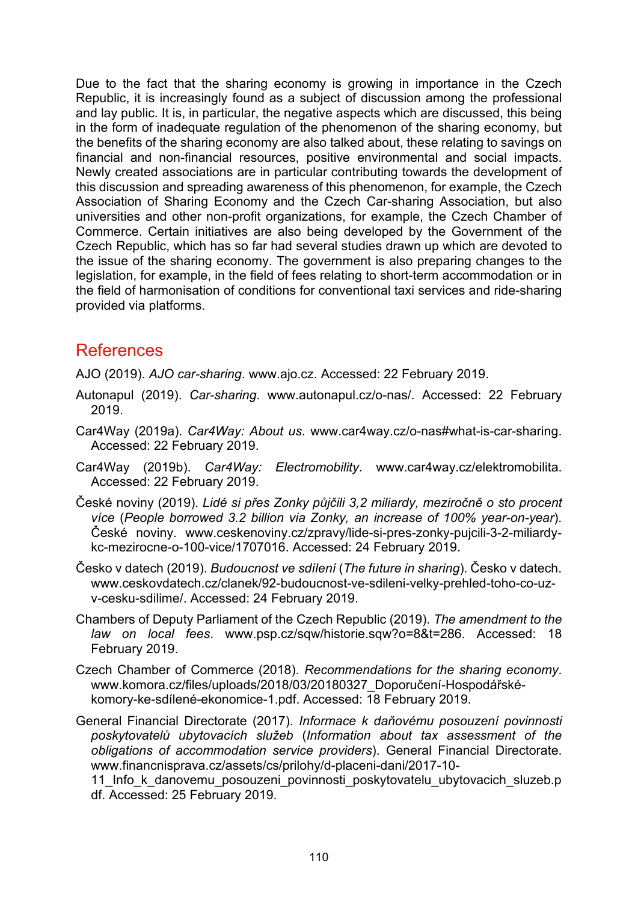Due to the fact that the sharing economy is growing in importance in the Czech Republic, it is increasingly found as a subject of discussion among the professional and lay public. It is, in particular, the negative aspects which are discussed, this being in the form of inadequate regulation of the phenomenon of the sharing economy, but the benefits of the sharing economy are also talked about, these relating to savings on financial and non-financial resources, positive environmental and social impacts. Newly created associations are in particular contributing towards the development of this discussion and spreading awareness of this phenomenon, for example, the Czech Association of Sharing Economy and the Czech Car-sharing Association, but also universities and other non-profit organizations, for example, the Czech Chamber of Commerce. Certain initiatives are also being developed by the Government of the Czech Republic, which has so far had several studies drawn up which are devoted to the issue of the sharing economy. The government is also preparing changes to the legislation, for example, in the field of fees relating to short-term accommodation or in the field of harmonisation of conditions for conventional taxi services and ride-sharing provided via platforms.

#### References

AJO (2019). *AJO car-sharing*. [www.ajo.cz.](https://www.ajo.cz/) Accessed: 22 February 2019.

- Autonapul (2019). *Car-sharing*. [www.autonapul.cz/o-nas/.](https://www.autonapul.cz/o-nas/) Accessed: 22 February 2019.
- Car4Way (2019a). *Car4Way: About us*. [www.car4way.cz/o-nas#what-is-car-sharing.](https://www.car4way.cz/o-nas#what-is-carsharing) Accessed: 22 February 2019.
- Car4Way (2019b). *Car4Way: Electromobility*. [www.car4way.cz/elektromobilita](https://www.car4way.cz/elektromobilita). Accessed: 22 February 2019.
- České noviny (2019). *Lidé si přes Zonky půjčili 3,2 miliardy, meziročně o sto procent více* (*People borrowed 3.2 billion via Zonky, an increase of 100% year-on-year*). České noviny. [www.ceskenoviny.cz/zpravy/lide-si-pres-zonky-pujcili-3-2-miliardy](https://www.ceskenoviny.cz/zpravy/lide-si-pres-zonky-pujcili-3-2-miliardy-kc-mezirocne-o-100-vice/1707016)[kc-mezirocne-o-100-vice/1707016.](https://www.ceskenoviny.cz/zpravy/lide-si-pres-zonky-pujcili-3-2-miliardy-kc-mezirocne-o-100-vice/1707016) Accessed: 24 February 2019.
- Česko v datech (2019). *Budoucnost ve sdílení* (*The future in sharing*). Česko v datech. www.ceskovdatech.cz/clanek/92-budoucnost[-ve-sdileni-velky-prehled-toho-co-uz](https://www.ceskovdatech.cz/clanek/92-budoucnost-ve-sdileni-velky-prehled-toho-co-uz-v-cesku-sdilime/)[v-cesku-sdilime/.](https://www.ceskovdatech.cz/clanek/92-budoucnost-ve-sdileni-velky-prehled-toho-co-uz-v-cesku-sdilime/) Accessed: 24 February 2019.
- Chambers of Deputy Parliament of the Czech Republic (2019). *The amendment to the law on local fees*. [www.psp.cz/sqw/historie.sqw?o=8&t=286.](http://www.psp.cz/sqw/historie.sqw?o=8&t=286) Accessed: 18 February 2019.
- Czech Chamber of Commerce (2018). *Recommendations for the sharing economy*. [www.komora.cz/files/uploads/2018/03/20180327\\_Doporučení](https://www.komora.cz/files/uploads/2018/03/20180327_Doporu%C4%8Den%C3%AD-Hospod%C3%A1%C5%99sk%C3%A9-komory-ke-sd%C3%ADlen%C3%A9-ekonomice-1.pdf)-Hospodářské[komory-ke-sdílené-ekonomice-1.pdf.](https://www.komora.cz/files/uploads/2018/03/20180327_Doporu%C4%8Den%C3%AD-Hospod%C3%A1%C5%99sk%C3%A9-komory-ke-sd%C3%ADlen%C3%A9-ekonomice-1.pdf) Accessed: 18 February 2019.
- General Financial Directorate (2017). *Informace k daňovému posouzení povinnosti poskytovatelů ubytovacích služeb* (*Information about tax assessment of the obligations of accommodation service providers*). General Financial Directorate. [www.financnisprava.cz/assets/cs/prilohy/d-placeni-dani/2017-10-](https://www.financnisprava.cz/assets/cs/prilohy/d-placeni-dani/2017-10-11_Info_k_danovemu_posouzeni_povinnosti_poskytovatelu_ubytovacich_sluzeb.pdf)

11\_Info\_k\_danove[mu\\_posouzeni\\_povinnosti\\_poskytovatelu\\_ubytovacich\\_sluzeb.p](https://www.financnisprava.cz/assets/cs/prilohy/d-placeni-dani/2017-10-11_Info_k_danovemu_posouzeni_povinnosti_poskytovatelu_ubytovacich_sluzeb.pdf) [df.](https://www.financnisprava.cz/assets/cs/prilohy/d-placeni-dani/2017-10-11_Info_k_danovemu_posouzeni_povinnosti_poskytovatelu_ubytovacich_sluzeb.pdf) Accessed: 25 February 2019.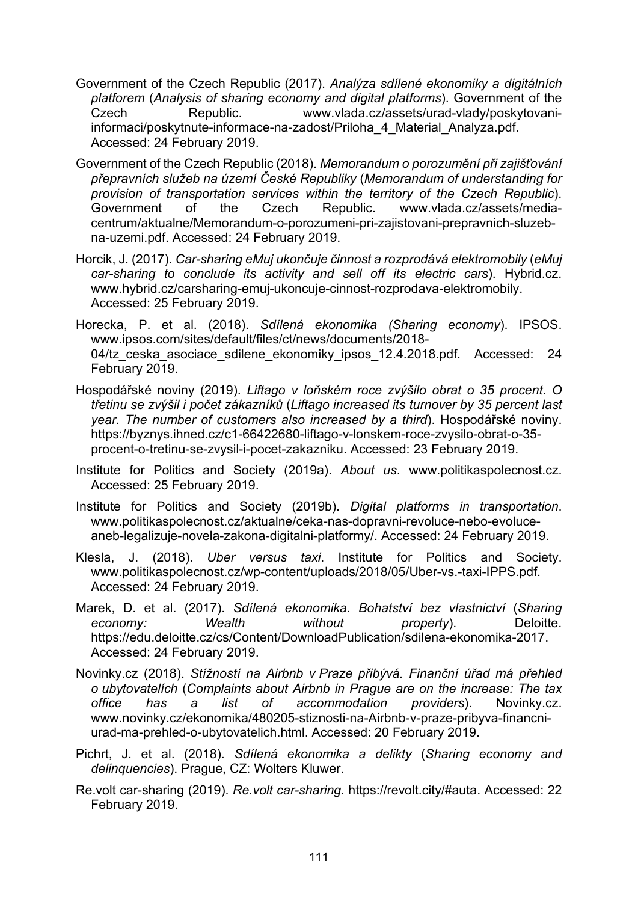- Government of the Czech Republic (2017). *Analýza sdílené ekonomiky a digitálních platforem* (*Analysis of sharing economy and digital platforms*). Government of the Czech Republic. [www.vlada.cz/assets/urad-vlady/poskytovani](https://www.vlada.cz/assets/urad-vlady/poskytovani-informaci/poskytnute-informace-na-zadost/Priloha_4_Material_Analyza.pdf)[informaci/poskytnute-informace-na-zadost/Priloha\\_4\\_Material\\_Analyza.pdf.](https://www.vlada.cz/assets/urad-vlady/poskytovani-informaci/poskytnute-informace-na-zadost/Priloha_4_Material_Analyza.pdf) Accessed: 24 February 2019.
- Government of the Czech Republic (2018). *Memorandum o porozumění při zajišťování přepravních služeb na území České Republiky* (*Memorandum of understanding for provision of transportation services within the territory of the Czech Republic*). Government of the Czech Republic. [www.vlada.cz/assets/media](https://www.vlada.cz/assets/media-centrum/aktualne/Memorandum-o-porozumeni-pri-zajistovani-prepravnich-sluzeb-na-uzemi.pdf)[centrum/aktualne/Memorandum-o-porozumeni-pri-zajistovani-prepravnich-](https://www.vlada.cz/assets/media-centrum/aktualne/Memorandum-o-porozumeni-pri-zajistovani-prepravnich-sluzeb-na-uzemi.pdf)sluzeb[na-uzemi.pdf.](https://www.vlada.cz/assets/media-centrum/aktualne/Memorandum-o-porozumeni-pri-zajistovani-prepravnich-sluzeb-na-uzemi.pdf) Accessed: 24 February 2019.
- Horcik, J. (2017). *Car-sharing eMuj ukončuje činnost a rozprodává elektromobily* (*eMuj car-sharing to conclude its activity and sell off its electric cars*). Hybrid.cz. www.hybrid.cz/carsharing[-emuj-ukoncuje-cinnost-rozprodava-](http://www.hybrid.cz/carsharing-emuj-ukoncuje-cinnost-rozprodava-elektromobily)elektromobily. Accessed: 25 February 2019.
- Horecka, P. et al. (2018). *Sdílená ekonomika (Sharing economy*). IPSOS. [www.ipsos.com/sites/default/files/ct/news/documents/2018-](https://www.ipsos.com/sites/default/files/ct/news/documents/2018-04/tz_ceska_asociace_sdilene_ekonomiky_ipsos_12.4.2018.pdf) 04/tz ceska asociace sdilene ekonomiky ipsos 12.4.2018.pdf. Accessed: 24 February 2019.
- Hospodářské noviny (2019). *Liftago v loňském roce zvýšilo obrat o 35 procent. O třetinu se zvýšil i počet zákazníků* (*Liftago increased its turnover by 35 percent last year. The number of customers also increased by a third*). Hospodářské noviny. https://byznys.ihned.cz/c1[-66422680-liftago-v-lonskem-roce-zvysilo-](https://byznys.ihned.cz/c1-66422680-liftago-v-lonskem-roce-zvysilo-obrat-o-35-procent-o-tretinu-se-zvysil-i-pocet-zakazniku)obrat-o-35 [procent-o-tretinu-se-zvysil-i-pocet-zakazniku.](https://byznys.ihned.cz/c1-66422680-liftago-v-lonskem-roce-zvysilo-obrat-o-35-procent-o-tretinu-se-zvysil-i-pocet-zakazniku) Accessed: 23 February 2019.
- Institute for Politics and Society (2019a). *About us*. [www.politikaspolecnost.cz.](https://www.politikaspolecnost.cz/) Accessed: 25 February 2019.
- Institute for Politics and Society (2019b). *Digital platforms in transportation*. [www.politikaspolecnost.cz/aktualne/ceka-nas-dopravni-revoluce-](https://www.politikaspolecnost.cz/aktualne/ceka-nas-dopravni-revoluce-nebo-evoluce-aneb-legalizuje-novela-zakona-digitalni-platformy/)nebo-evoluceaneb[-legalizuje-novela-zakona-digitalni-platformy/.](https://www.politikaspolecnost.cz/aktualne/ceka-nas-dopravni-revoluce-nebo-evoluce-aneb-legalizuje-novela-zakona-digitalni-platformy/) Accessed: 24 February 2019.
- Klesla, J. (2018). *Uber versus taxi*. Institute for Politics and Society. [www.politikaspolecnost.cz/wp-](https://www.politikaspolecnost.cz/wp-content/uploads/2018/05/Uber-vs.-taxi-IPPS.pdf)content/uploads/2018/05/Uber-vs.-taxi-IPPS.pdf. Accessed: 24 February 2019.
- Marek, D. et al. (2017). *Sdílená ekonomika. Bohatství bez vlastnictví* (*Sharing economy: Wealth without property*). Deloitte. [https://edu.deloitte.cz/cs/Content/DownloadPublication/sdilena](https://edu.deloitte.cz/cs/Content/DownloadPublication/sdilena-ekonomika-2017)-ekonomika-2017. Accessed: 24 February 2019.
- Novinky.cz (2018). *Stížností na Airbnb v Praze přibývá. Finanční úřad má přehled o ubytovatelích* (*Complaints about Airbnb in Prague are on the increase: The tax office has a list of accommodation providers*). Novinky.cz. [www.novinky.cz/ekonomika/480205-stiznosti-na-](https://www.novinky.cz/ekonomika/480205-stiznosti-na-airbnb-v-praze-pribyva-financni-urad-ma-prehled-o-ubytovatelich.html)Airbnb-v-praze-pribyva-financni[urad-ma-prehled-o-](https://www.novinky.cz/ekonomika/480205-stiznosti-na-airbnb-v-praze-pribyva-financni-urad-ma-prehled-o-ubytovatelich.html)ubytovatelich.html. Accessed: 20 February 2019.
- Pichrt, J. et al. (2018). *Sdílená ekonomika a delikty* (*Sharing economy and delinquencies*). Prague, CZ: Wolters Kluwer.
- Re.volt car-sharing (2019). *Re.volt car-sharing*. [https://revolt.city/#auta.](https://revolt.city/#auta) Accessed: 22 February 2019.